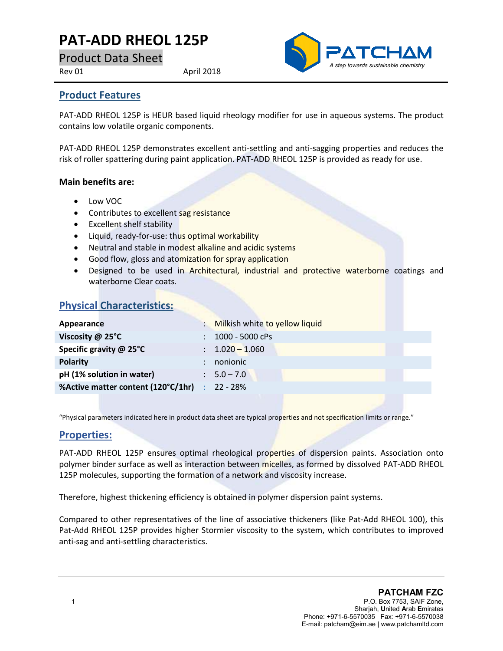# **PAT-ADD RHEOL 125P**

Product Data Sheet

Rev 01 April 2018



### **Product Features**

PAT-ADD RHEOL 125P is HEUR based liquid rheology modifier for use in aqueous systems. The product contains low volatile organic components.

PAT-ADD RHEOL 125P demonstrates excellent anti-settling and anti-sagging properties and reduces the risk of roller spattering during paint application. PAT-ADD RHEOL 125P is provided as ready for use.

#### **Main benefits are:**

- Low VOC
- Contributes to excellent sag resistance
- Excellent shelf stability
- Liquid, ready-for-use: thus optimal workability
- Neutral and stable in modest alkaline and acidic systems
- Good flow, gloss and atomization for spray application
- Designed to be used in Architectural, industrial and protective waterborne coatings and waterborne Clear coats.

## **Physical Characteristics:**

| Appearance                                    |   | : Milkish white to yellow liquid |
|-----------------------------------------------|---|----------------------------------|
| Viscosity @ 25°C                              | ÷ | 1000 - 5000 cPs                  |
| Specific gravity @ 25°C                       |   | $: 1.020 - 1.060$                |
| <b>Polarity</b>                               |   | nonionic                         |
| pH (1% solution in water)                     |   | $\therefore$ 5.0 – 7.0           |
| %Active matter content (120°C/1hr) : 22 - 28% |   |                                  |
|                                               |   |                                  |

"Physical parameters indicated here in product data sheet are typical properties and not specification limits or range."

### **Properties:**

PAT-ADD RHEOL 125P ensures optimal rheological properties of dispersion paints. Association onto polymer binder surface as well as interaction between micelles, as formed by dissolved PAT-ADD RHEOL 125P molecules, supporting the formation of a network and viscosity increase.

Therefore, highest thickening efficiency is obtained in polymer dispersion paint systems.

Compared to other representatives of the line of associative thickeners (like Pat-Add RHEOL 100), this Pat-Add RHEOL 125P provides higher Stormier viscosity to the system, which contributes to improved anti-sag and anti-settling characteristics.